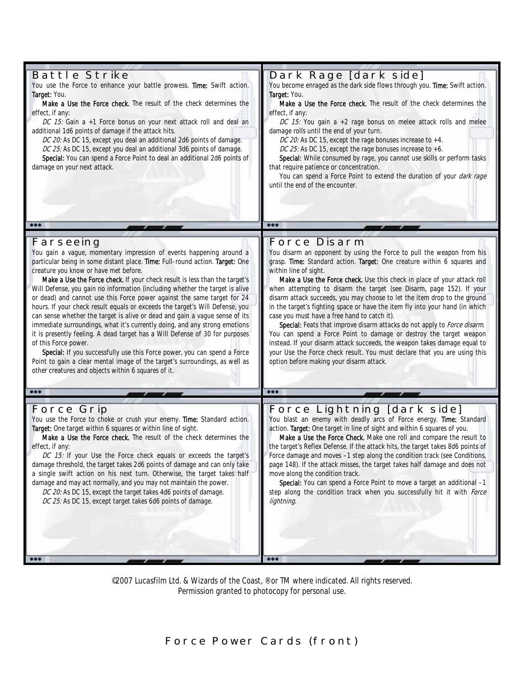| <b>Battle Strike</b><br>You use the Force to enhance your battle prowess. Time: Swift action.<br>Target: You.<br>Make a Use the Force check. The result of the check determines the<br>effect, if any:<br>DC 15: Gain a +1 Force bonus on your next attack roll and deal an<br>additional 1d6 points of damage if the attack hits.<br>DC 20: As DC 15, except you deal an additional 2d6 points of damage.<br>DC 25: As DC 15, except you deal an additional 3d6 points of damage.<br>Special: You can spend a Force Point to deal an additional 2d6 points of<br>damage on your next attack.                                                                                                                                                                                                                                                                                                                                                                                                                             | Dark Rage [dark side]<br>You become enraged as the dark side flows through you. Time: Swift action.<br>Target: You.<br>Make a Use the Force check. The result of the check determines the<br>effect, if any:<br>DC 15: You gain a +2 rage bonus on melee attack rolls and melee<br>damage rolls until the end of your turn.<br>DC 20: As DC 15, except the rage bonuses increase to +4.<br>DC 25: As DC 15, except the rage bonuses increase to +6.<br>Special: While consumed by rage, you cannot use skills or perform tasks<br>that require patience or concentration.<br>You can spend a Force Point to extend the duration of your <i>dark rage</i><br>until the end of the encounter.                                                                                                                                                                                                                              |
|---------------------------------------------------------------------------------------------------------------------------------------------------------------------------------------------------------------------------------------------------------------------------------------------------------------------------------------------------------------------------------------------------------------------------------------------------------------------------------------------------------------------------------------------------------------------------------------------------------------------------------------------------------------------------------------------------------------------------------------------------------------------------------------------------------------------------------------------------------------------------------------------------------------------------------------------------------------------------------------------------------------------------|--------------------------------------------------------------------------------------------------------------------------------------------------------------------------------------------------------------------------------------------------------------------------------------------------------------------------------------------------------------------------------------------------------------------------------------------------------------------------------------------------------------------------------------------------------------------------------------------------------------------------------------------------------------------------------------------------------------------------------------------------------------------------------------------------------------------------------------------------------------------------------------------------------------------------|
| 000                                                                                                                                                                                                                                                                                                                                                                                                                                                                                                                                                                                                                                                                                                                                                                                                                                                                                                                                                                                                                       | 000                                                                                                                                                                                                                                                                                                                                                                                                                                                                                                                                                                                                                                                                                                                                                                                                                                                                                                                      |
| Farseeing<br>You gain a vague, momentary impression of events happening around a<br>particular being in some distant place. Time: Full-round action. Target: One<br>creature you know or have met before.<br>Make a Use the Force check. If your check result is less than the target's<br>Will Defense, you gain no information (including whether the target is alive<br>or dead) and cannot use this Force power against the same target for 24<br>hours. If your check result equals or exceeds the target's Will Defense, you<br>can sense whether the target is alive or dead and gain a vague sense of its<br>immediate surroundings, what it's currently doing, and any strong emotions<br>it is presently feeling. A dead target has a Will Defense of 30 for purposes<br>of this Force power.<br>Special: If you successfully use this Force power, you can spend a Force<br>Point to gain a clear mental image of the target's surroundings, as well as<br>other creatures and objects within 6 squares of it. | <b>Force Disarm</b><br>You disarm an opponent by using the Force to pull the weapon from his<br>grasp. Time: Standard action. Target: One creature within 6 squares and<br>within line of sight.<br>Make a Use the Force check. Use this check in place of your attack roll<br>when attempting to disarm the target (see Disarm, page 152). If your<br>disarm attack succeeds, you may choose to let the item drop to the ground<br>in the target's fighting space or have the item fly into your hand (in which<br>case you must have a free hand to catch it).<br>Special: Feats that improve disarm attacks do not apply to Force disarm.<br>You can spend a Force Point to damage or destroy the target weapon<br>instead. If your disarm attack succeeds, the weapon takes damage equal to<br>your Use the Force check result. You must declare that you are using this<br>option before making your disarm attack. |
| 000                                                                                                                                                                                                                                                                                                                                                                                                                                                                                                                                                                                                                                                                                                                                                                                                                                                                                                                                                                                                                       | 000                                                                                                                                                                                                                                                                                                                                                                                                                                                                                                                                                                                                                                                                                                                                                                                                                                                                                                                      |
| <b>Force Grip</b><br>You use the Force to choke or crush your enemy. Time: Standard action.<br>Target: One target within 6 squares or within line of sight.<br>Make a Use the Force check. The result of the check determines the<br>effect, if any:<br>DC 15: If your Use the Force check equals or exceeds the target's<br>damage threshold, the target takes 2d6 points of damage and can only take<br>a single swift action on his next turn. Otherwise, the target takes half<br>damage and may act normally, and you may not maintain the power.<br>DC 20: As DC 15, except the target takes 4d6 points of damage.<br>DC 25: As DC 15, except target takes 6d6 points of damage.                                                                                                                                                                                                                                                                                                                                    | Force Lightning [dark side]<br>You blast an enemy with deadly arcs of Force energy. Time: Standard<br>action. Target: One target in line of sight and within 6 squares of you.<br>Make a Use the Force Check. Make one roll and compare the result to<br>the target's Reflex Defense. If the attack hits, the target takes 8d6 points of<br>Force damage and moves -1 step along the condition track (see Conditions,<br>page 148). If the attack misses, the target takes half damage and does not<br>move along the condition track.<br>Special: You can spend a Force Point to move a target an additional -1<br>step along the condition track when you successfully hit it with Force<br>lightning.                                                                                                                                                                                                                 |

©2007 Lucasfilm Ltd. & Wizards of the Coast, ® or TM where indicated. All rights reserved. Permission granted to photocopy for personal use.

**Force Power Cards (front)**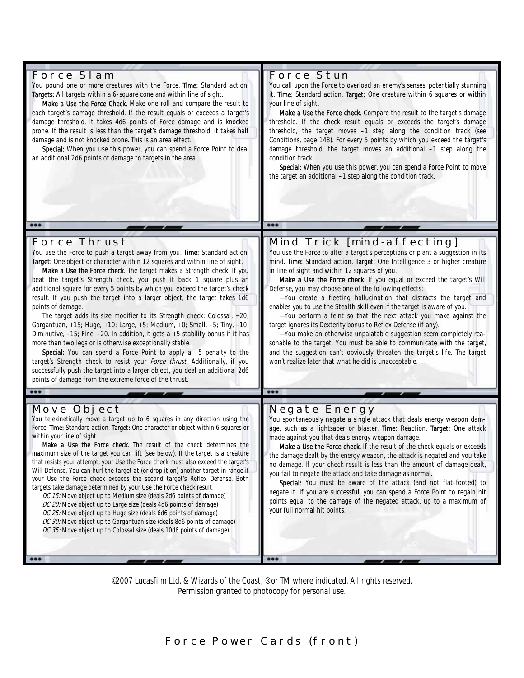| Force SI am<br>You pound one or more creatures with the Force. Time: Standard action.<br>Targets: All targets within a 6-square cone and within line of sight.<br>Make a Use the Force Check. Make one roll and compare the result to<br>each target's damage threshold. If the result equals or exceeds a target's<br>damage threshold, it takes 4d6 points of Force damage and is knocked<br>prone. If the result is less than the target's damage threshold, it takes half<br>damage and is not knocked prone. This is an area effect.<br>Special: When you use this power, you can spend a Force Point to deal<br>an additional 2d6 points of damage to targets in the area.<br>000                                                                                                                                                                                                                                                                                                                                                                                                                            | <b>Force Stun</b><br>You call upon the Force to overload an enemy's senses, potentially stunning<br>it. Time: Standard action. Target: One creature within 6 squares or within<br>your line of sight.<br>Make a Use the Force check. Compare the result to the target's damage<br>threshold. If the check result equals or exceeds the target's damage<br>threshold, the target moves -1 step along the condition track (see<br>Conditions, page 148). For every 5 points by which you exceed the target's<br>damage threshold, the target moves an additional -1 step along the<br>condition track.<br>Special: When you use this power, you can spend a Force Point to move<br>the target an additional -1 step along the condition track.<br>000                                                                                                                                                                                                            |
|--------------------------------------------------------------------------------------------------------------------------------------------------------------------------------------------------------------------------------------------------------------------------------------------------------------------------------------------------------------------------------------------------------------------------------------------------------------------------------------------------------------------------------------------------------------------------------------------------------------------------------------------------------------------------------------------------------------------------------------------------------------------------------------------------------------------------------------------------------------------------------------------------------------------------------------------------------------------------------------------------------------------------------------------------------------------------------------------------------------------|----------------------------------------------------------------------------------------------------------------------------------------------------------------------------------------------------------------------------------------------------------------------------------------------------------------------------------------------------------------------------------------------------------------------------------------------------------------------------------------------------------------------------------------------------------------------------------------------------------------------------------------------------------------------------------------------------------------------------------------------------------------------------------------------------------------------------------------------------------------------------------------------------------------------------------------------------------------|
|                                                                                                                                                                                                                                                                                                                                                                                                                                                                                                                                                                                                                                                                                                                                                                                                                                                                                                                                                                                                                                                                                                                    |                                                                                                                                                                                                                                                                                                                                                                                                                                                                                                                                                                                                                                                                                                                                                                                                                                                                                                                                                                |
| <b>Force Thrust</b><br>You use the Force to push a target away from you. Time: Standard action.<br>Target: One object or character within 12 squares and within line of sight.<br>Make a Use the Force check. The target makes a Strength check. If you<br>beat the target's Strength check, you push it back 1 square plus an<br>additional square for every 5 points by which you exceed the target's check<br>result. If you push the target into a larger object, the target takes 1d6<br>points of damage.<br>The target adds its size modifier to its Strength check: Colossal, +20;<br>Gargantuan, +15; Huge, +10; Large, +5; Medium, +0; Small, -5; Tiny, -10;<br>Diminutive, -15; Fine, -20. In addition, it gets a +5 stability bonus if it has<br>more than two legs or is otherwise exceptionally stable.<br>Special: You can spend a Force Point to apply a -5 penalty to the<br>target's Strength check to resist your Force thrust. Additionally, if you<br>successfully push the target into a larger object, you deal an additional 2d6<br>points of damage from the extreme force of the thrust. | Mind Trick [mind-affecting]<br>You use the Force to alter a target's perceptions or plant a suggestion in its<br>mind. Time: Standard action. Target: One Intelligence 3 or higher creature<br>in line of sight and within 12 squares of you.<br>Make a Use the Force check. If you equal or exceed the target's Will<br>Defense, you may choose one of the following effects:<br>-You create a fleeting hallucination that distracts the target and<br>enables you to use the Stealth skill even if the target is aware of you.<br>-You perform a feint so that the next attack you make against the<br>target ignores its Dexterity bonus to Reflex Defense (if any).<br>-You make an otherwise unpalatable suggestion seem completely rea-<br>sonable to the target. You must be able to communicate with the target,<br>and the suggestion can't obviously threaten the target's life. The target<br>won't realize later that what he did is unacceptable. |
| 000                                                                                                                                                                                                                                                                                                                                                                                                                                                                                                                                                                                                                                                                                                                                                                                                                                                                                                                                                                                                                                                                                                                |                                                                                                                                                                                                                                                                                                                                                                                                                                                                                                                                                                                                                                                                                                                                                                                                                                                                                                                                                                |
| Move Object<br>You telekinetically move a target up to 6 squares in any direction using the<br>Force. Time: Standard action. Target: One character or object within 6 squares or<br>within your line of sight.<br><b>Make a Use the Force check.</b> The result of the check determines the<br>maximum size of the target you can lift (see below). If the target is a creature<br>that resists your attempt, your Use the Force check must also exceed the target's<br>Will Defense. You can hurl the target at (or drop it on) another target in range if<br>your Use the Force check exceeds the second target's Reflex Defense. Both<br>targets take damage determined by your Use the Force check result.<br>DC 15: Move object up to Medium size (deals 2d6 points of damage)<br>DC 20: Move object up to Large size (deals 4d6 points of damage)<br>DC 25: Move object up to Huge size (deals 6d6 points of damage)<br>DC 30: Move object up to Gargantuan size (deals 8d6 points of damage)<br>DC 35: Move object up to Colossal size (deals 10d6 points of damage)<br>$\bullet\bullet\bullet$             | <b>Negate Energy</b><br>You spontaneously negate a single attack that deals energy weapon dam-<br>age, such as a lightsaber or blaster. Time: Reaction. Target: One attack<br>made against you that deals energy weapon damage.<br>Make a Use the Force check. If the result of the check equals or exceeds<br>the damage dealt by the energy weapon, the attack is negated and you take<br>no damage. If your check result is less than the amount of damage dealt,<br>you fail to negate the attack and take damage as normal.<br>Special: You must be aware of the attack (and not flat-footed) to<br>negate it. If you are successful, you can spend a Force Point to regain hit<br>points equal to the damage of the negated attack, up to a maximum of<br>your full normal hit points.                                                                                                                                                                   |

©2007 Lucasfilm Ltd. & Wizards of the Coast, ® or TM where indicated. All rights reserved. Permission granted to photocopy for personal use.

**Force Power Cards (front)**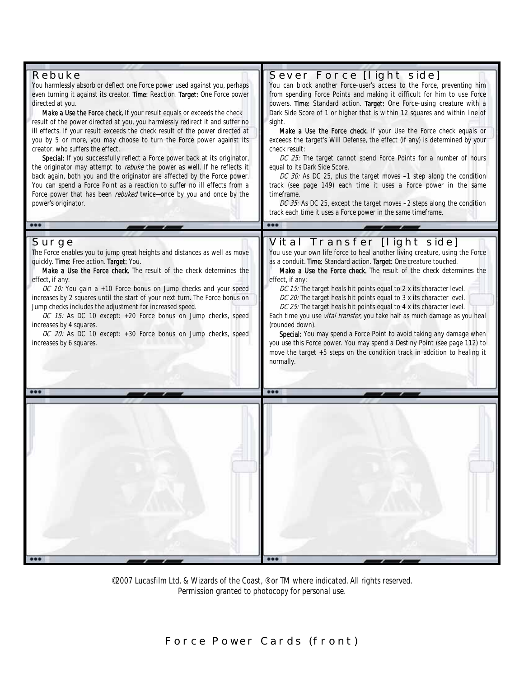

©2007 Lucasfilm Ltd. & Wizards of the Coast. ® or TM where indicated. All rights reserved. Permission granted to photocopy for personal use.

**Force Power Cards (front)**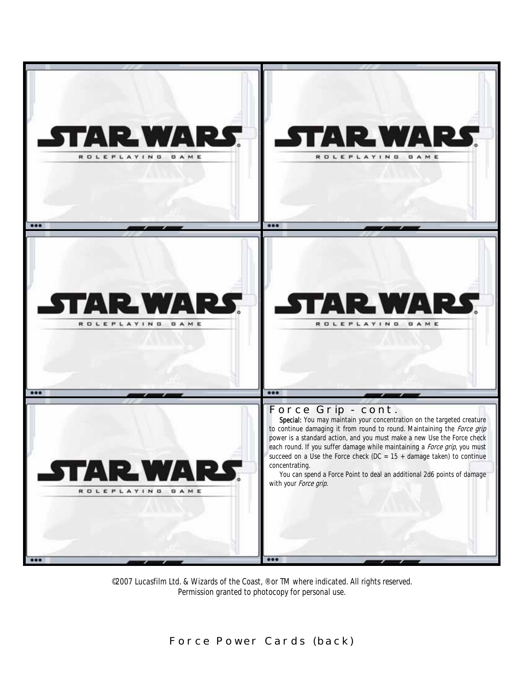

©2007 Lucasfilm Ltd. & Wizards of the Coast, ® or TM where indicated. All rights reserved. Permission granted to photocopy for personal use.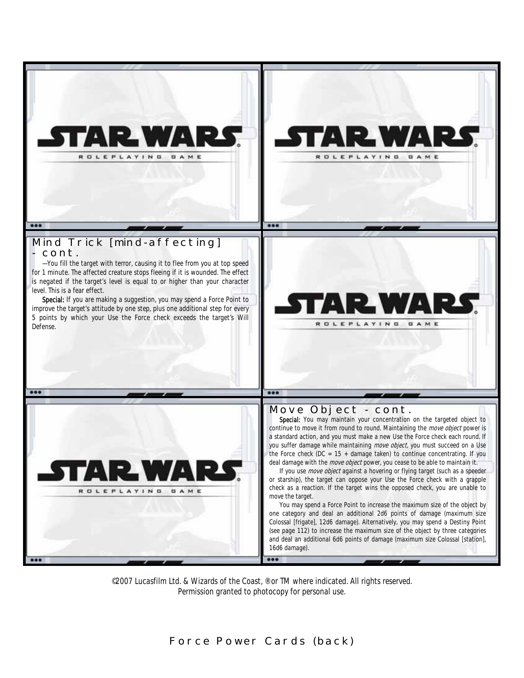

©2007 Lucasfilm Ltd. & Wizards of the Coast, ® or TM where indicated. All rights reserved. Permission granted to photocopy for personal use.

**Force Power Cards (back)**